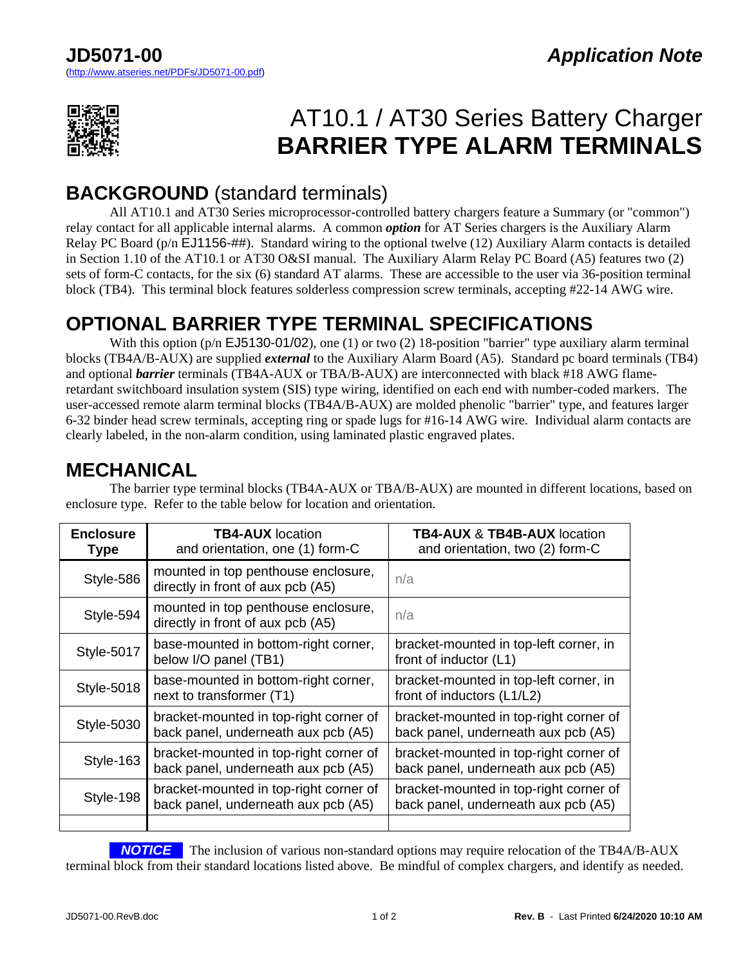

# AT10.1 / AT30 Series Battery Charger **BARRIER TYPE ALARM TERMINALS**

#### **BACKGROUND** (standard terminals)

 All AT10.1 and AT30 Series microprocessor-controlled battery chargers feature a Summary (or "common") relay contact for all applicable internal alarms. A common *option* for AT Series chargers is the Auxiliary Alarm Relay PC Board (p/n EJ1156-##). Standard wiring to the optional twelve (12) Auxiliary Alarm contacts is detailed in Section 1.10 of the AT10.1 or AT30 O&SI manual. The Auxiliary Alarm Relay PC Board (A5) features two (2) sets of form-C contacts, for the six (6) standard AT alarms. These are accessible to the user via 36-position terminal block (TB4). This terminal block features solderless compression screw terminals, accepting #22-14 AWG wire.

### **OPTIONAL BARRIER TYPE TERMINAL SPECIFICATIONS**

With this option (p/n EJ5130-01/02), one (1) or two (2) 18-position "barrier" type auxiliary alarm terminal blocks (TB4A/B-AUX) are supplied *external* to the Auxiliary Alarm Board (A5). Standard pc board terminals (TB4) and optional *barrier* terminals (TB4A-AUX or TBA/B-AUX) are interconnected with black #18 AWG flameretardant switchboard insulation system (SIS) type wiring, identified on each end with number-coded markers. The user-accessed remote alarm terminal blocks (TB4A/B-AUX) are molded phenolic "barrier" type, and features larger 6-32 binder head screw terminals, accepting ring or spade lugs for #16-14 AWG wire. Individual alarm contacts are clearly labeled, in the non-alarm condition, using laminated plastic engraved plates.

## **MECHANICAL**

| <b>Enclosure</b><br><b>Type</b> | <b>TB4-AUX</b> location<br>and orientation, one (1) form-C                    | <b>TB4-AUX &amp; TB4B-AUX location</b><br>and orientation, two (2) form-C     |
|---------------------------------|-------------------------------------------------------------------------------|-------------------------------------------------------------------------------|
| Style-586                       | mounted in top penthouse enclosure,<br>directly in front of aux pcb (A5)      | n/a                                                                           |
| Style-594                       | mounted in top penthouse enclosure,<br>directly in front of aux pcb (A5)      | n/a                                                                           |
| Style-5017                      | base-mounted in bottom-right corner,<br>below I/O panel (TB1)                 | bracket-mounted in top-left corner, in<br>front of inductor (L1)              |
| <b>Style-5018</b>               | base-mounted in bottom-right corner,<br>next to transformer (T1)              | bracket-mounted in top-left corner, in<br>front of inductors (L1/L2)          |
| <b>Style-5030</b>               | bracket-mounted in top-right corner of<br>back panel, underneath aux pcb (A5) | bracket-mounted in top-right corner of<br>back panel, underneath aux pcb (A5) |
| Style-163                       | bracket-mounted in top-right corner of<br>back panel, underneath aux pcb (A5) | bracket-mounted in top-right corner of<br>back panel, underneath aux pcb (A5) |
| Style-198                       | bracket-mounted in top-right corner of<br>back panel, underneath aux pcb (A5) | bracket-mounted in top-right corner of<br>back panel, underneath aux pcb (A5) |
|                                 |                                                                               |                                                                               |

 The barrier type terminal blocks (TB4A-AUX or TBA/B-AUX) are mounted in different locations, based on enclosure type. Refer to the table below for location and orientation.

**NOTICE** The inclusion of various non-standard options may require relocation of the TB4A/B-AUX terminal block from their standard locations listed above. Be mindful of complex chargers, and identify as needed.